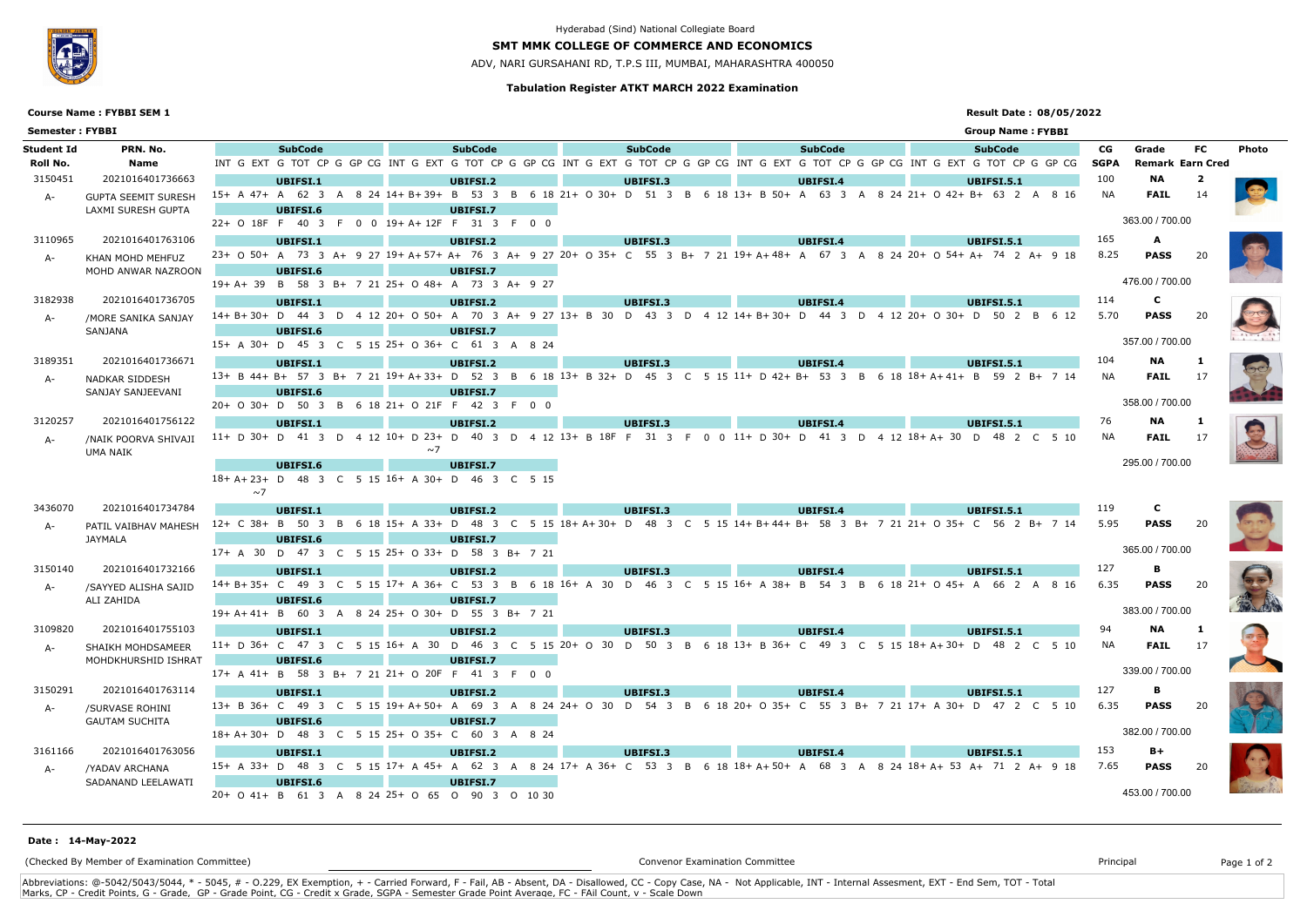## **Tabulation Register ATKT MARCH 2022 Examination**

## **SMT MMK COLLEGE OF COMMERCE AND ECONOMICS**

ADV, NARI GURSAHANI RD, T.P.S III, MUMBAI, MAHARASHTRA 400050

## **Result Date : 08/05/2022**

# **Course Name : FYBBI SEM 1**



## Hyderabad (Sind) National Collegiate Board

| <b>Semester: FYBBI</b> |                                                  |                                                                                                  |                 |  |                                                                                                                                 |                 |  |  |                 |  |                 |  |                               | <b>Group Name: FYBBI</b> |  |                   |                                  |           |              |  |  |  |  |
|------------------------|--------------------------------------------------|--------------------------------------------------------------------------------------------------|-----------------|--|---------------------------------------------------------------------------------------------------------------------------------|-----------------|--|--|-----------------|--|-----------------|--|-------------------------------|--------------------------|--|-------------------|----------------------------------|-----------|--------------|--|--|--|--|
| Student Id<br>Roll No. | PRN. No.<br>Name                                 |                                                                                                  | <b>SubCode</b>  |  | INT GEXT GITOT CP GGP CGINT GEXT GITOT CP GGP CGINT GEXT GITOT CP GGP CGINT GEXT GITOT CP GGP CGINT GEXT GITOT CP GGP CG        | <b>SubCode</b>  |  |  | <b>SubCode</b>  |  | <b>SubCode</b>  |  |                               | <b>SubCode</b>           |  | CG<br><b>SGPA</b> | Grade<br><b>Remark Earn Cred</b> | <b>FC</b> | <b>Photo</b> |  |  |  |  |
|                        |                                                  |                                                                                                  |                 |  |                                                                                                                                 |                 |  |  |                 |  |                 |  |                               |                          |  |                   | <b>NA</b>                        |           |              |  |  |  |  |
| 3150451                | 2021016401736663                                 |                                                                                                  | UBIFSI.1        |  | 15+ A 47+ A 62 3 A 8 24 14+ B+39+ B 53 3 B 6 18 21+ O 30+ D 51 3 B 6 18 13+ B 50+ A 63 3 A                                      | <b>UBIFSI.2</b> |  |  | UBIFSI.3        |  | UBIFSI.4        |  | 8 24 21+ 0 42+ B+ 63 2 A 8 16 | <b>UBIFSI.5.1</b>        |  | 100<br>NA         |                                  | 2         |              |  |  |  |  |
| A-                     | <b>GUPTA SEEMIT SURESH</b><br>LAXMI SURESH GUPTA |                                                                                                  |                 |  |                                                                                                                                 |                 |  |  |                 |  |                 |  |                               |                          |  |                   | <b>FAIL</b>                      |           |              |  |  |  |  |
|                        |                                                  | UBIFSI.6<br><b>UBIFSI.7</b><br>363.00 / 700.00<br>22+ O 18F F 40 3 F 0 0 19+ A+ 12F F 31 3 F 0 0 |                 |  |                                                                                                                                 |                 |  |  |                 |  |                 |  |                               |                          |  |                   |                                  |           |              |  |  |  |  |
| 3110965                | 2021016401763106                                 |                                                                                                  |                 |  |                                                                                                                                 |                 |  |  |                 |  |                 |  |                               |                          |  | 165               |                                  |           |              |  |  |  |  |
|                        |                                                  |                                                                                                  | UBIFSI.1        |  | 23+ 0 50+ A 73 3 A+ 9 27 19+ A+ 57+ A+ 76 3 A+ 9 27 20+ 0 35+ C 55 3 B+ 7 21 19+ A+ 48+ A 67 3 A 8 24 20+ 0 54+ A+ 74 2 A+ 9 18 | <b>UBIFSI.2</b> |  |  | UBIFSI.3        |  | <b>UBIFSI.4</b> |  |                               | <b>UBIFSI.5.1</b>        |  | 8.25              | A<br><b>PASS</b>                 | -20       |              |  |  |  |  |
| A-                     | KHAN MOHD MEHFUZ<br>MOHD ANWAR NAZROON           |                                                                                                  | <b>UBIFSI.6</b> |  |                                                                                                                                 | <b>UBIFSI.7</b> |  |  |                 |  |                 |  |                               |                          |  |                   |                                  |           |              |  |  |  |  |
|                        |                                                  |                                                                                                  |                 |  | 19+ A+ 39 B 58 3 B+ 7 21 25+ O 48+ A 73 3 A+ 9 27                                                                               |                 |  |  |                 |  |                 |  |                               |                          |  |                   | 476.00 / 700.00                  |           |              |  |  |  |  |
| 3182938                | 2021016401736705                                 |                                                                                                  |                 |  |                                                                                                                                 |                 |  |  |                 |  |                 |  |                               |                          |  | 114               | C                                |           |              |  |  |  |  |
|                        |                                                  |                                                                                                  | UBIFSI.1        |  | 14+B+30+D 44 3 D 4 12 20+ O 50+ A 70 3 A+ 9 27 13+ B 30 D 43 3 D 4 12 14+B+30+ D 44 3 D 4 12 20+ O 30+ D 50 2 B 6 12            | UBIFSI.2        |  |  | UBIFSI.3        |  | <b>UBIFSI.4</b> |  |                               | <b>UBIFSI.5.1</b>        |  | 5.70              | <b>PASS</b>                      |           |              |  |  |  |  |
| A-                     | /MORE SANIKA SANJAY<br>SANJANA                   |                                                                                                  | <b>UBIFSI.6</b> |  |                                                                                                                                 | <b>UBIFSI.7</b> |  |  |                 |  |                 |  |                               |                          |  |                   |                                  |           |              |  |  |  |  |
|                        |                                                  |                                                                                                  |                 |  | 15+ A 30+ D 45 3 C 5 15 25+ O 36+ C 61 3 A 8 24                                                                                 |                 |  |  |                 |  |                 |  |                               |                          |  |                   | 357.00 / 700.00                  |           |              |  |  |  |  |
| 3189351                | 2021016401736671                                 |                                                                                                  |                 |  |                                                                                                                                 |                 |  |  |                 |  |                 |  |                               | <b>UBIFSI.5.1</b>        |  | 104               | <b>NA</b>                        |           |              |  |  |  |  |
|                        |                                                  |                                                                                                  | UBIFSI.1        |  | 13+ B 44+ B+ 57 3 B+ 7 21 19+ A+33+ D 52 3 B 6 18 13+ B 32+ D 45 3 C 5 15 11+ D 42+ B+ 53 3 B 6 18 18+ A+41+ B 59 2 B+ 7 14     | <b>UBIFSI.2</b> |  |  | UBIFSI.3        |  | <b>UBIFSI.4</b> |  |                               |                          |  | NA                | <b>FAIL</b>                      |           |              |  |  |  |  |
| $A-$                   | NADKAR SIDDESH<br>SANJAY SANJEEVANI              |                                                                                                  | UBIFSI.6        |  |                                                                                                                                 | <b>UBIFSI.7</b> |  |  |                 |  |                 |  |                               |                          |  |                   |                                  |           |              |  |  |  |  |
|                        |                                                  |                                                                                                  |                 |  | 20+ O 30+ D 50 3 B 6 18 21+ O 21F F 42 3 F 0 0                                                                                  |                 |  |  |                 |  |                 |  |                               |                          |  |                   | 358.00 / 700.00                  |           |              |  |  |  |  |
| 3120257                | 2021016401756122                                 |                                                                                                  | UBIFSI.1        |  |                                                                                                                                 | <b>UBIFSI.2</b> |  |  | UBIFSI.3        |  | <b>UBIFSI.4</b> |  |                               | <b>UBIFSI.5.1</b>        |  | 76                | NA                               |           |              |  |  |  |  |
|                        |                                                  |                                                                                                  |                 |  | 11+ D 30+ D 41 3 D 4 12 10+ D 23+ D 40 3 D 4 12 13+ B 18F F 31 3 F 0 0 11+ D 30+ D 41 3 D 4 12 18+ A+ 30 D 48 2 C 5 10          |                 |  |  |                 |  |                 |  |                               |                          |  | NA.               | <b>FAIL</b>                      | - 17      |              |  |  |  |  |
| A-                     | /NAIK POORVA SHIVAJI<br>UMA NAIK                 |                                                                                                  |                 |  | $\sim$ 7                                                                                                                        |                 |  |  |                 |  |                 |  |                               |                          |  |                   |                                  |           |              |  |  |  |  |
|                        |                                                  | 295.00 / 700.00<br>UBIFSI.6<br><b>UBIFSI.7</b>                                                   |                 |  |                                                                                                                                 |                 |  |  |                 |  |                 |  |                               |                          |  |                   |                                  |           |              |  |  |  |  |
|                        |                                                  |                                                                                                  |                 |  | 18+A+23+ D 48 3 C 5 15 16+ A 30+ D 46 3 C 5 15                                                                                  |                 |  |  |                 |  |                 |  |                               |                          |  |                   |                                  |           |              |  |  |  |  |
|                        |                                                  | $\sim$ 7                                                                                         |                 |  |                                                                                                                                 |                 |  |  |                 |  |                 |  |                               |                          |  |                   |                                  |           |              |  |  |  |  |
| 3436070                | 2021016401734784                                 |                                                                                                  | <b>UBIFSI.1</b> |  |                                                                                                                                 | <b>UBIFSI.2</b> |  |  | UBIFSI.3        |  | <b>UBIFSI.4</b> |  |                               | <b>UBIFSI.5.1</b>        |  | 119               | $\mathbf{C}$                     |           |              |  |  |  |  |
| A-                     | PATIL VAIBHAV MAHESH<br>JAYMALA                  |                                                                                                  |                 |  | 12+ C 38+ B 50 3 B 6 18 15+ A 33+ D 48 3 C 5 15 18+ A+30+ D 48 3 C 5 15 14+ B+ 44+ B+ 58 3 B+ 7 21 21+ O 35+ C 56 2 B+ 7 14     |                 |  |  |                 |  |                 |  |                               |                          |  | 5.95              | <b>PASS</b>                      | -20       |              |  |  |  |  |
|                        |                                                  |                                                                                                  | <b>UBIFSI.6</b> |  |                                                                                                                                 | <b>UBIFSI.7</b> |  |  |                 |  |                 |  |                               |                          |  |                   |                                  |           |              |  |  |  |  |
|                        |                                                  |                                                                                                  |                 |  | 17+ A 30 D 47 3 C 5 15 25+ O 33+ D 58 3 B+ 7 21                                                                                 |                 |  |  |                 |  |                 |  |                               |                          |  |                   | 365.00 / 700.00                  |           |              |  |  |  |  |
| 3150140                | 2021016401732166                                 |                                                                                                  | <b>UBIFSI.1</b> |  |                                                                                                                                 | <b>UBIFSI.2</b> |  |  | <b>UBIFSI.3</b> |  | <b>UBIFSI.4</b> |  |                               | <b>UBIFSI.5.1</b>        |  | 127               | В                                |           |              |  |  |  |  |
| A-                     | /SAYYED ALISHA SAJID                             |                                                                                                  |                 |  | 14+B+35+C 49 3 C 5 15 17+A 36+C 53 3 B 6 18 16+A 30 D 46 3 C 5 15 16+A 38+B 54 3 B 6 18 21+O 45+A 66 2 A 8 16                   |                 |  |  |                 |  |                 |  |                               |                          |  | 6.35              | <b>PASS</b>                      | -20       |              |  |  |  |  |
|                        | ALI ZAHIDA                                       |                                                                                                  | <b>UBIFSI.6</b> |  |                                                                                                                                 | <b>UBIFSI.7</b> |  |  |                 |  |                 |  |                               |                          |  |                   |                                  |           |              |  |  |  |  |
|                        |                                                  |                                                                                                  |                 |  | 19+ A+ 41+ B 60 3 A 8 24 25+ O 30+ D 55 3 B+ 7 21                                                                               |                 |  |  |                 |  |                 |  |                               |                          |  |                   | 383.00 / 700.00                  |           |              |  |  |  |  |
| 3109820                | 2021016401755103                                 |                                                                                                  | UBIFSI.1        |  |                                                                                                                                 | <b>UBIFSI.2</b> |  |  | UBIFSI.3        |  | <b>UBIFSI.4</b> |  |                               | <b>UBIFSI.5.1</b>        |  |                   | NA                               |           |              |  |  |  |  |
| A-                     | SHAIKH MOHDSAMEER                                |                                                                                                  |                 |  | 11+ D 36+ C 47 3 C 5 15 16+ A 30 D 46 3 C 5 15 20+ O 30 D 50 3 B 6 18 13+ B 36+ C 49 3 C 5 15 18+ A+ 30+ D 48 2 C 5 10          |                 |  |  |                 |  |                 |  |                               |                          |  | NA.               | <b>FAIL</b>                      | 17        |              |  |  |  |  |
|                        | MOHDKHURSHID ISHRAT                              |                                                                                                  | <b>UBIFSI.6</b> |  |                                                                                                                                 | <b>UBIFSI.7</b> |  |  |                 |  |                 |  |                               |                          |  |                   |                                  |           |              |  |  |  |  |
|                        |                                                  | 17+ A 41+ B 58 3 B+ 7 21 21+ O 20F F 41 3 F 0 0                                                  |                 |  |                                                                                                                                 |                 |  |  |                 |  | 339.00 / 700.00 |  |                               |                          |  |                   |                                  |           |              |  |  |  |  |
| 3150291                | 2021016401763114                                 |                                                                                                  | UBIFSI.1        |  |                                                                                                                                 | <b>UBIFSI.2</b> |  |  | UBIFSI.3        |  | <b>UBIFSI.4</b> |  |                               | <b>UBIFSI.5.1</b>        |  | 127               | В                                |           |              |  |  |  |  |
| A-                     | /SURVASE ROHINI                                  |                                                                                                  |                 |  | 13+ B 36+ C 49 3 C 5 15 19+ A+ 50+ A 69 3 A 8 24 24+ O 30 D 54 3 B 6 18 20+ O 35+ C 55 3 B+ 7 21 17+ A 30+ D 47 2 C 5 10        |                 |  |  |                 |  |                 |  |                               |                          |  | 6.35              | <b>PASS</b>                      |           |              |  |  |  |  |
|                        | <b>GAUTAM SUCHITA</b>                            |                                                                                                  | <b>UBIFSI.6</b> |  |                                                                                                                                 | <b>UBIFSI.7</b> |  |  |                 |  |                 |  |                               |                          |  |                   |                                  |           |              |  |  |  |  |
|                        |                                                  |                                                                                                  |                 |  | 18+A+30+ D 48 3 C 5 15 25+ O 35+ C 60 3 A 8 24                                                                                  |                 |  |  |                 |  |                 |  |                               |                          |  |                   | 382.00 / 700.00                  |           |              |  |  |  |  |
| 3161166                | 2021016401763056                                 |                                                                                                  | UBIFSI.1        |  |                                                                                                                                 | UBIFSI.2        |  |  | <b>UBIFSI.3</b> |  | <b>UBIFSI.4</b> |  |                               | <b>UBIFSI.5.1</b>        |  | 153               | $B+$                             |           |              |  |  |  |  |
| A-                     | /YADAV ARCHANA                                   |                                                                                                  |                 |  | 15+ A 33+ D 48 3 C 5 15 17+ A 45+ A 62 3 A 8 24 17+ A 36+ C 53 3 B 6 18 18+ A+ 50+ A 68 3 A 8 24 18+ A+ 53 A+ 71 2 A+ 9 18      |                 |  |  |                 |  |                 |  |                               |                          |  | 7.65              | <b>PASS</b>                      | - 20      |              |  |  |  |  |
|                        | SADANAND LEELAWATI                               |                                                                                                  | <b>UBIFSI.6</b> |  |                                                                                                                                 | <b>UBIFSI.7</b> |  |  |                 |  |                 |  |                               |                          |  |                   |                                  |           |              |  |  |  |  |
|                        |                                                  |                                                                                                  |                 |  | 20+ 0 41+ B 61 3 A 8 24 25+ 0 65 0 90 3 0 10 30                                                                                 |                 |  |  |                 |  |                 |  |                               |                          |  |                   | 453.00 / 700.00                  |           |              |  |  |  |  |

Abbreviations: @-5042/5043/5044, \* - 5045, # - O.229, EX Exemption, + - Carried Forward, F - Fail, AB - Absent, DA - Disallowed, CC - Copy Case, NA - Not Applicable, INT - Internal Assesment, EXT - End Sem, TOT - Total Marks, CP - Credit Points, G - Grade, GP - Grade Point, CG - Credit x Grade, SGPA - Semester Grade Point Average, FC - FAil Count, v - Scale Down

(Checked By Member of Examination Committee) Convenor Examination Committee Principal Page 1 of 2

### **Date : 14-May-2022**